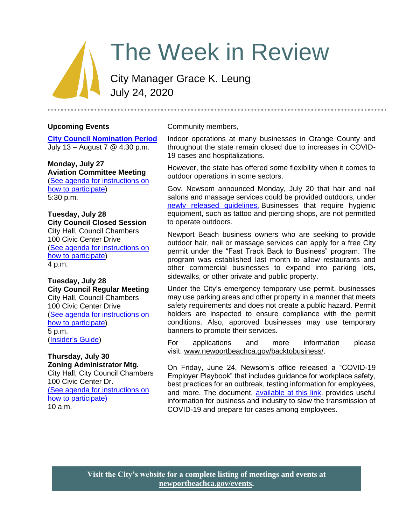# The Week in Review

City Manager Grace K. Leung July 24, 2020

## **Upcoming Events**

**[City Council Nomination Period](https://newportbeachca.gov/government/departments/city-clerk/general-municipal-election-november-3-2020)** July 13 – August 7 @ 4:30 p.m.

**Monday, July 27 Aviation Committee Meeting** [\(See agenda for instructions on](https://newportbeach.legistar.com/View.ashx?M=A&ID=798954&GUID=D2B8F3AA-08F7-4CC6-881E-1DD5D1AE22C9)  [how to participate\)](https://newportbeach.legistar.com/View.ashx?M=A&ID=798954&GUID=D2B8F3AA-08F7-4CC6-881E-1DD5D1AE22C9) 5:30 p.m.

**Tuesday, July 28 City Council Closed Session** City Hall, Council Chambers 100 Civic Center Drive [\(See agenda for](https://newportbeach.legistar1.com/newportbeach/meetings/2020/7/2485_A_City_Council_20-07-28_Agenda.pdf?id=75524187-719c-4432-a5c5-260444c68cd9) instructions on [how to participate\)](https://newportbeach.legistar1.com/newportbeach/meetings/2020/7/2485_A_City_Council_20-07-28_Agenda.pdf?id=75524187-719c-4432-a5c5-260444c68cd9) 4 p.m.

**Tuesday, July 28 City Council Regular Meeting** City Hall, Council Chambers 100 Civic Center Drive [\(See agenda for instructions on](https://newportbeach.legistar1.com/newportbeach/meetings/2020/7/2485_A_City_Council_20-07-28_Agenda.pdf?id=75524187-719c-4432-a5c5-260444c68cd9)  [how to participate\)](https://newportbeach.legistar1.com/newportbeach/meetings/2020/7/2485_A_City_Council_20-07-28_Agenda.pdf?id=75524187-719c-4432-a5c5-260444c68cd9) 5 p.m. [\(Insider's Guide\)](https://www.newportbeachca.gov/government/departments/city-manager-s-office/insider-s-guide)

#### **Thursday, July 30 Zoning Administrator Mtg.**

City Hall, City Council Chambers 100 Civic Center Dr. [\(See agenda for instructions on](https://www.newportbeachca.gov/government/departments/community-development/planning-division/zoning-administrator)  [how to participate\)](https://www.newportbeachca.gov/government/departments/community-development/planning-division/zoning-administrator) 10 a.m.

Community members,

Indoor operations at many businesses in Orange County and throughout the state remain closed due to increases in COVID-19 cases and hospitalizations.

However, the state has offered some flexibility when it comes to outdoor operations in some sectors.

Gov. Newsom announced Monday, July 20 that hair and nail salons and massage services could be provided outdoors, under [newly released guidelines.](https://files.covid19.ca.gov/pdf/guidance-outdoor-hair-salons--en.pdf) Businesses that require hygienic equipment, such as tattoo and piercing shops, are not permitted to operate outdoors.

Newport Beach business owners who are seeking to provide outdoor hair, nail or massage services can apply for a free City permit under the "Fast Track Back to Business" program. The program was established last month to allow restaurants and other commercial businesses to expand into parking lots, sidewalks, or other private and public property.

Under the City's emergency temporary use permit, businesses may use parking areas and other property in a manner that meets safety requirements and does not create a public hazard. Permit holders are inspected to ensure compliance with the permit conditions. Also, approved businesses may use temporary banners to promote their services.

For applications and more information please visit: [www.newportbeachca.gov/backtobusiness/.](http://www.newportbeachca.gov/backtobusiness/)

On Friday, June 24, Newsom's office released a "COVID-19 Employer Playbook" that includes guidance for workplace safety, best practices for an outbreak, testing information for employees, and more. The document, [available at this link,](https://files.covid19.ca.gov/pdf/employer-playbook-for-safe-reopening--en.pdf) provides useful information for business and industry to slow the transmission of COVID-19 and prepare for cases among employees.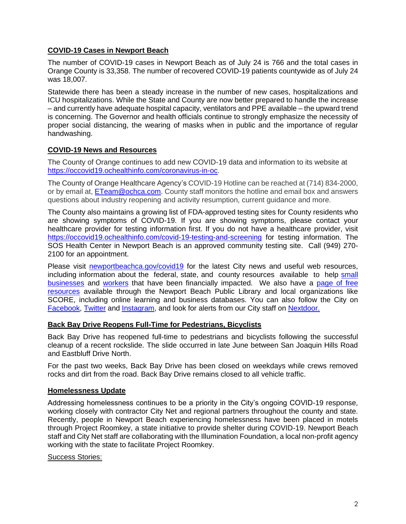## **COVID-19 Cases in Newport Beach**

The number of COVID-19 cases in Newport Beach as of July 24 is 766 and the total cases in Orange County is 33,358. The number of recovered COVID-19 patients countywide as of July 24 was 18,007.

Statewide there has been a steady increase in the number of new cases, hospitalizations and ICU hospitalizations. While the State and County are now better prepared to handle the increase – and currently have adequate hospital capacity, ventilators and PPE available – the upward trend is concerning. The Governor and health officials continue to strongly emphasize the necessity of proper social distancing, the wearing of masks when in public and the importance of regular handwashing.

## **COVID-19 News and Resources**

The County of Orange continues to add new COVID-19 data and information to its website at [https://occovid19.ochealthinfo.com/coronavirus-in-oc.](https://occovid19.ochealthinfo.com/coronavirus-in-oc)

The County of Orange Healthcare Agency's COVID-19 Hotline can be reached at (714) 834-2000, or by email at, [ETeam@ochca.com.](mailto:ETeam@ochca.com) County staff monitors the hotline and email box and answers questions about industry reopening and activity resumption, current guidance and more.

The County also maintains a growing list of FDA-approved testing sites for County residents who are showing symptoms of COVID-19. If you are showing symptoms, please contact your healthcare provider for testing information first. If you do not have a healthcare provider, visit <https://occovid19.ochealthinfo.com/covid-19-testing-and-screening> for testing information. The SOS Health Center in Newport Beach is an approved community testing site. Call (949) 270- 2100 for an appointment.

Please visit [newportbeachca.gov/covid19](https://www.newportbeachca.gov/how-do-i/find/disaster-preparedness-information/disease-outbreak/-fsiteid-1) for the latest City news and useful web resources, including information about the federal, state, and county resources available to help [small](https://www.newportbeachca.gov/government/departments/city-manager/economic-development/small-business-support)  [businesses](https://www.newportbeachca.gov/government/departments/city-manager/economic-development/small-business-support) and [workers](https://www.newportbeachca.gov/government/departments/city-manager/economic-development/support-for-employees) that have been financially impacted. We also have a [page of free](https://www.newportbeachca.gov/government/departments/city-manager/economic-development/small-business-support/business-employee-resources)  [resources](https://www.newportbeachca.gov/government/departments/city-manager/economic-development/small-business-support/business-employee-resources) available through the Newport Beach Public Library and local organizations like SCORE, including online learning and business databases. You can also follow the City on [Facebook,](https://www.facebook.com/pg/CityofNewportBeach) [Twitter](https://twitter.com/newportbeachgov) and [Instagram,](https://www.instagram.com/cityofnewportbeach/) and look for alerts from our City staff on [Nextdoor.](https://nextdoor.com/agency/city-of-newport-beach/?i=ltdytbjdbdkntfqttgcm)

## **Back Bay Drive Reopens Full-Time for Pedestrians, Bicyclists**

Back Bay Drive has reopened full-time to pedestrians and bicyclists following the successful cleanup of a recent rockslide. The slide occurred in late June between San Joaquin Hills Road and Eastbluff Drive North.

For the past two weeks, Back Bay Drive has been closed on weekdays while crews removed rocks and dirt from the road. Back Bay Drive remains closed to all vehicle traffic.

## **Homelessness Update**

Addressing homelessness continues to be a priority in the City's ongoing COVID-19 response, working closely with contractor City Net and regional partners throughout the county and state. Recently, people in Newport Beach experiencing homelessness have been placed in motels through Project Roomkey, a state initiative to provide shelter during COVID-19. Newport Beach staff and City Net staff are collaborating with the Illumination Foundation, a local non-profit agency working with the state to facilitate Project Roomkey.

#### Success Stories: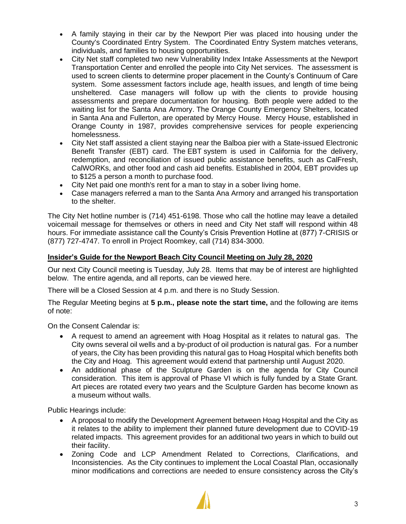- A family staying in their car by the Newport Pier was placed into housing under the County's Coordinated Entry System. The Coordinated Entry System matches veterans, individuals, and families to housing opportunities.
- City Net staff completed two new Vulnerability Index Intake Assessments at the Newport Transportation Center and enrolled the people into City Net services. The assessment is used to screen clients to determine proper placement in the County's Continuum of Care system. Some assessment factors include age, health issues, and length of time being unsheltered. Case managers will follow up with the clients to provide housing assessments and prepare documentation for housing. Both people were added to the waiting list for the Santa Ana Armory. The Orange County Emergency Shelters, located in Santa Ana and Fullerton, are operated by Mercy House. Mercy House, established in Orange County in 1987, provides comprehensive services for people experiencing homelessness.
- City Net staff assisted a client staying near the Balboa pier with a State-issued Electronic Benefit Transfer (EBT) card. The EBT system is used in California for the delivery, redemption, and reconciliation of issued public assistance benefits, such as CalFresh, CalWORKs, and other food and cash aid benefits. Established in 2004, EBT provides up to \$125 a person a month to purchase food.
- City Net paid one month's rent for a man to stay in a sober living home.
- Case managers referred a man to the Santa Ana Armory and arranged his transportation to the shelter.

The City Net hotline number is (714) 451-6198. Those who call the hotline may leave a detailed voicemail message for themselves or others in need and City Net staff will respond within 48 hours. For immediate assistance call the County's Crisis Prevention Hotline at (877) 7-CRISIS or (877) 727-4747. To enroll in Project Roomkey, call (714) 834-3000.

## **Insider's Guide for the Newport Beach City Council Meeting on July 28, 2020**

Our next City Council meeting is Tuesday, July 28. Items that may be of interest are highlighted below. The entire agenda, and all reports, can be viewed here.

There will be a Closed Session at 4 p.m. and there is no Study Session.

The Regular Meeting begins at **5 p.m., please note the start time,** and the following are items of note:

On the Consent Calendar is:

- A request to amend an agreement with Hoag Hospital as it relates to natural gas. The City owns several oil wells and a by-product of oil production is natural gas. For a number of years, the City has been providing this natural gas to Hoag Hospital which benefits both the City and Hoag. This agreement would extend that partnership until August 2020.
- An additional phase of the Sculpture Garden is on the agenda for City Council consideration. This item is approval of Phase VI which is fully funded by a State Grant. Art pieces are rotated every two years and the Sculpture Garden has become known as a museum without walls.

Public Hearings include:

- A proposal to modify the Development Agreement between Hoag Hospital and the City as it relates to the ability to implement their planned future development due to COVID-19 related impacts. This agreement provides for an additional two years in which to build out their facility.
- Zoning Code and LCP Amendment Related to Corrections, Clarifications, and Inconsistencies. As the City continues to implement the Local Coastal Plan, occasionally minor modifications and corrections are needed to ensure consistency across the City's